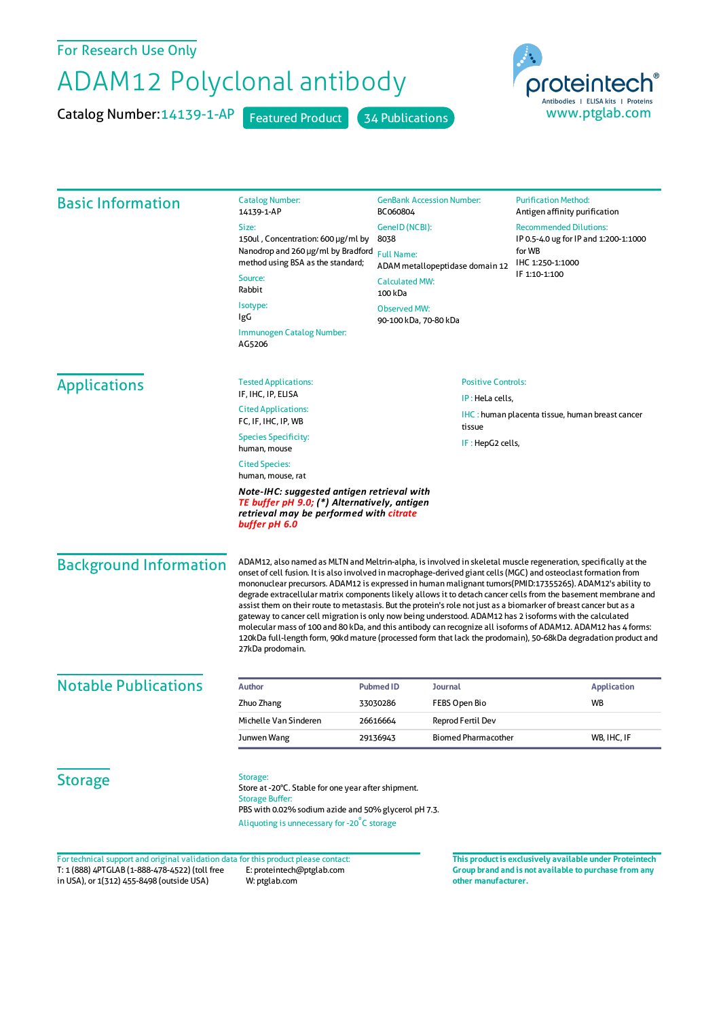## For Research Use Only

## ADAM12 Polyclonal antibody

Catalog Number: 14139-1-AP Featured Product 34 Publications



| <b>Basic Information</b>                                                                                                              | <b>Catalog Number:</b><br>14139-1-AP                                                                                                                                                                                                                                                                                                                                                                                                                                                                                                                                                                                                                                                                                                                                                                                                                                                                                                                       | <b>GenBank Accession Number:</b><br>BC060804<br>GenelD (NCBI):<br>8038<br><b>Full Name:</b><br>ADAM metallopeptidase domain 12<br><b>Calculated MW:</b><br>100 kDa |                            | <b>Purification Method:</b><br>Antigen affinity purification<br><b>Recommended Dilutions:</b><br>IP 0.5-4.0 ug for IP and 1:200-1:1000<br>for WB<br>IHC 1:250-1:1000<br>IF 1:10-1:100 |  |
|---------------------------------------------------------------------------------------------------------------------------------------|------------------------------------------------------------------------------------------------------------------------------------------------------------------------------------------------------------------------------------------------------------------------------------------------------------------------------------------------------------------------------------------------------------------------------------------------------------------------------------------------------------------------------------------------------------------------------------------------------------------------------------------------------------------------------------------------------------------------------------------------------------------------------------------------------------------------------------------------------------------------------------------------------------------------------------------------------------|--------------------------------------------------------------------------------------------------------------------------------------------------------------------|----------------------------|---------------------------------------------------------------------------------------------------------------------------------------------------------------------------------------|--|
|                                                                                                                                       | Size:<br>150ul, Concentration: 600 µg/ml by                                                                                                                                                                                                                                                                                                                                                                                                                                                                                                                                                                                                                                                                                                                                                                                                                                                                                                                |                                                                                                                                                                    |                            |                                                                                                                                                                                       |  |
|                                                                                                                                       | Nanodrop and 260 µg/ml by Bradford<br>method using BSA as the standard;                                                                                                                                                                                                                                                                                                                                                                                                                                                                                                                                                                                                                                                                                                                                                                                                                                                                                    |                                                                                                                                                                    |                            |                                                                                                                                                                                       |  |
|                                                                                                                                       | Source:<br>Rabbit                                                                                                                                                                                                                                                                                                                                                                                                                                                                                                                                                                                                                                                                                                                                                                                                                                                                                                                                          |                                                                                                                                                                    |                            |                                                                                                                                                                                       |  |
|                                                                                                                                       | Isotype:<br><b>Observed MW:</b><br>IgG<br>90-100 kDa, 70-80 kDa                                                                                                                                                                                                                                                                                                                                                                                                                                                                                                                                                                                                                                                                                                                                                                                                                                                                                            |                                                                                                                                                                    |                            |                                                                                                                                                                                       |  |
|                                                                                                                                       | Immunogen Catalog Number:<br>AG5206                                                                                                                                                                                                                                                                                                                                                                                                                                                                                                                                                                                                                                                                                                                                                                                                                                                                                                                        |                                                                                                                                                                    |                            |                                                                                                                                                                                       |  |
| <b>Applications</b>                                                                                                                   | <b>Tested Applications:</b><br>IF, IHC, IP, ELISA                                                                                                                                                                                                                                                                                                                                                                                                                                                                                                                                                                                                                                                                                                                                                                                                                                                                                                          | <b>Positive Controls:</b>                                                                                                                                          |                            |                                                                                                                                                                                       |  |
|                                                                                                                                       | <b>Cited Applications:</b><br>FC, IF, IHC, IP, WB                                                                                                                                                                                                                                                                                                                                                                                                                                                                                                                                                                                                                                                                                                                                                                                                                                                                                                          | IP: HeLa cells,<br>IHC : human placenta tissue, human breast cancer<br>tissue                                                                                      |                            |                                                                                                                                                                                       |  |
|                                                                                                                                       | <b>Species Specificity:</b><br>human, mouse                                                                                                                                                                                                                                                                                                                                                                                                                                                                                                                                                                                                                                                                                                                                                                                                                                                                                                                |                                                                                                                                                                    | IF: HepG2 cells,           |                                                                                                                                                                                       |  |
|                                                                                                                                       | <b>Cited Species:</b><br>human, mouse, rat                                                                                                                                                                                                                                                                                                                                                                                                                                                                                                                                                                                                                                                                                                                                                                                                                                                                                                                 |                                                                                                                                                                    |                            |                                                                                                                                                                                       |  |
|                                                                                                                                       | Note-IHC: suggested antigen retrieval with<br>TE buffer pH 9.0; (*) Alternatively, antigen<br>retrieval may be performed with citrate<br>buffer pH 6.0                                                                                                                                                                                                                                                                                                                                                                                                                                                                                                                                                                                                                                                                                                                                                                                                     |                                                                                                                                                                    |                            |                                                                                                                                                                                       |  |
| <b>Background Information</b>                                                                                                         | ADAM12, also named as MLTN and Meltrin-alpha, is involved in skeletal muscle regeneration, specifically at the<br>onset of cell fusion. It is also involved in macrophage-derived giant cells (MGC) and osteoclast formation from<br>mononuclear precursors. ADAM12 is expressed in human malignant tumors(PMID:17355265). ADAM12's ability to<br>degrade extracellular matrix components likely allows it to detach cancer cells from the basement membrane and<br>assist them on their route to metastasis. But the protein's role not just as a biomarker of breast cancer but as a<br>gateway to cancer cell migration is only now being understood. ADAM12 has 2 isoforms with the calculated<br>molecular mass of 100 and 80 kDa, and this antibody can recognize all isoforms of ADAM12. ADAM12 has 4 forms:<br>120kDa full-length form, 90kd mature (processed form that lack the prodomain), 50-68kDa degradation product and<br>27kDa prodomain. |                                                                                                                                                                    |                            |                                                                                                                                                                                       |  |
| <b>Notable Publications</b>                                                                                                           | <b>Author</b>                                                                                                                                                                                                                                                                                                                                                                                                                                                                                                                                                                                                                                                                                                                                                                                                                                                                                                                                              | <b>Pubmed ID</b><br>Journal                                                                                                                                        |                            | <b>Application</b>                                                                                                                                                                    |  |
|                                                                                                                                       | Zhuo Zhang                                                                                                                                                                                                                                                                                                                                                                                                                                                                                                                                                                                                                                                                                                                                                                                                                                                                                                                                                 | 33030286                                                                                                                                                           | FEBS Open Bio              | WB                                                                                                                                                                                    |  |
|                                                                                                                                       | Michelle Van Sinderen                                                                                                                                                                                                                                                                                                                                                                                                                                                                                                                                                                                                                                                                                                                                                                                                                                                                                                                                      | 26616664                                                                                                                                                           | <b>Reprod Fertil Dev</b>   |                                                                                                                                                                                       |  |
|                                                                                                                                       | Junwen Wang                                                                                                                                                                                                                                                                                                                                                                                                                                                                                                                                                                                                                                                                                                                                                                                                                                                                                                                                                | 29136943                                                                                                                                                           | <b>Biomed Pharmacother</b> | WB, IHC, IF                                                                                                                                                                           |  |
| <b>Storage</b>                                                                                                                        | Storage:<br>Store at -20°C. Stable for one year after shipment.<br>PBS with 0.02% sodium azide and 50% glycerol pH 7.3.<br>Aliquoting is unnecessary for -20°C storage                                                                                                                                                                                                                                                                                                                                                                                                                                                                                                                                                                                                                                                                                                                                                                                     |                                                                                                                                                                    |                            |                                                                                                                                                                                       |  |
| For technical support and original validation data for this product please contact:<br>T: 1 (888) 4PTGLAB (1-888-478-4522) (toll free | <b>Storage Buffer:</b><br>E: proteintech@ptglab.com                                                                                                                                                                                                                                                                                                                                                                                                                                                                                                                                                                                                                                                                                                                                                                                                                                                                                                        |                                                                                                                                                                    |                            | This product is exclusively available under Proteintech<br>Group brand and is not available to purchase from any                                                                      |  |

in USA), or 1(312) 455-8498 (outside USA) E: proteintech@ptglab.com W: ptglab.com

**Group brand and is not available to purchase from any other manufacturer.**